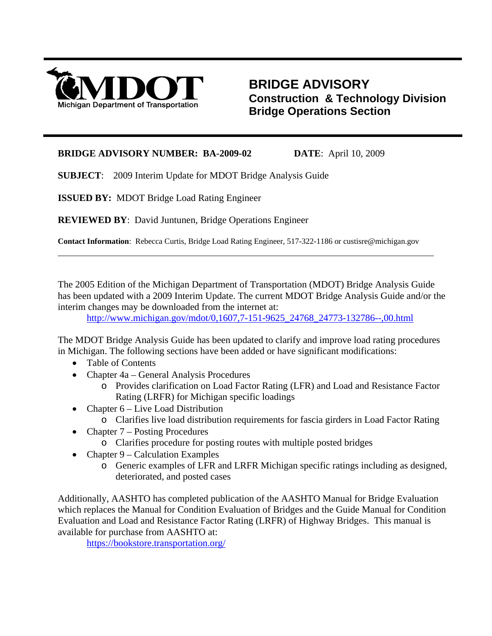

## **BRIDGE ADVISORY Construction & Technology Division Bridge Operations Section**

## **BRIDGE ADVISORY NUMBER: BA-2009-02 DATE**: April 10, 2009

**SUBJECT**: 2009 Interim Update for MDOT Bridge Analysis Guide

**ISSUED BY:** MDOT Bridge Load Rating Engineer

**REVIEWED BY**: David Juntunen, Bridge Operations Engineer

**Contact Information**: Rebecca Curtis, Bridge Load Rating Engineer, 517-322-1186 or custisre@michigan.gov

The 2005 Edition of the Michigan Department of Transportation (MDOT) Bridge Analysis Guide has been updated with a 2009 Interim Update. The current MDOT Bridge Analysis Guide and/or the interim changes may be downloaded from the internet at:

[http://www.michigan.gov/mdot/0,1607,7-151-9625\\_24768\\_24773-132786--,00.html](http://www.michigan.gov/mdot/0,1607,7-151-9625_24768_24773-132786--,00.html)

The MDOT Bridge Analysis Guide has been updated to clarify and improve load rating procedures in Michigan. The following sections have been added or have significant modifications:

• Table of Contents

 $\overline{a}$ 

- Chapter 4a General Analysis Procedures
	- o Provides clarification on Load Factor Rating (LFR) and Load and Resistance Factor Rating (LRFR) for Michigan specific loadings
- Chapter 6 Live Load Distribution
	- o Clarifies live load distribution requirements for fascia girders in Load Factor Rating
- Chapter 7 Posting Procedures
	- o Clarifies procedure for posting routes with multiple posted bridges
- Chapter 9 Calculation Examples
	- o Generic examples of LFR and LRFR Michigan specific ratings including as designed, deteriorated, and posted cases

Additionally, AASHTO has completed publication of the AASHTO Manual for Bridge Evaluation which replaces the Manual for Condition Evaluation of Bridges and the Guide Manual for Condition Evaluation and Load and Resistance Factor Rating (LRFR) of Highway Bridges. This manual is available for purchase from AASHTO at:

<https://bookstore.transportation.org/>